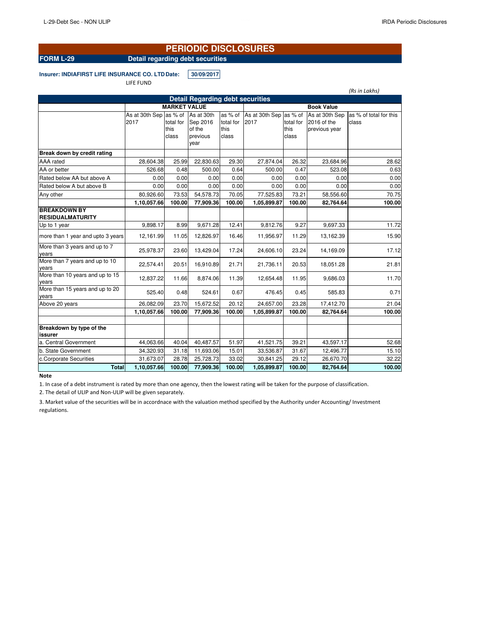# **PERIODIC DISCLOSURES**

**FORM L-29 Detail regarding debt securities**

**Insurer: INDIAFIRST LIFE INSURANCE CO. LTD Date: 30/09/2017** 

LIFE FUND

|                                                              |                     |               |                  |           |                |           |                | (Rs in Lakhs)          |  |  |  |
|--------------------------------------------------------------|---------------------|---------------|------------------|-----------|----------------|-----------|----------------|------------------------|--|--|--|
| <b>Detail Regarding debt securities</b><br><b>Book Value</b> |                     |               |                  |           |                |           |                |                        |  |  |  |
|                                                              | <b>MARKET VALUE</b> |               |                  |           |                |           |                |                        |  |  |  |
|                                                              | As at 30th Sep      | as % of       | As at 30th       | as % of   | As at 30th Sep | as % of   | As at 30th Sep | as % of total for this |  |  |  |
|                                                              | 2017                | total for     | Sep 2016         | total for | 2017           | total for | 2016 of the    | class                  |  |  |  |
|                                                              |                     | this<br>class | of the           | this      |                | this      | previous year  |                        |  |  |  |
|                                                              |                     |               | previous<br>year | class     |                | class     |                |                        |  |  |  |
| Break down by credit rating                                  |                     |               |                  |           |                |           |                |                        |  |  |  |
| AAA rated                                                    | 28,604.38           | 25.99         | 22,830.63        | 29.30     | 27,874.04      | 26.32     | 23,684.96      | 28.62                  |  |  |  |
| AA or better                                                 | 526.68              | 0.48          | 500.00           | 0.64      | 500.00         | 0.47      | 523.08         | 0.63                   |  |  |  |
| Rated below AA but above A                                   | 0.00                | 0.00          | 0.00             | 0.00      | 0.00           | 0.00      | 0.00           | 0.00                   |  |  |  |
| Rated below A but above B                                    | 0.00                | 0.00          | 0.00             | 0.00      | 0.00           | 0.00      | 0.00           | 0.00                   |  |  |  |
| Any other                                                    | 80,926.60           | 73.53         | 54,578.73        | 70.05     | 77,525.83      | 73.21     | 58,556.60      | 70.75                  |  |  |  |
|                                                              | 1,10,057.66         | 100.00        | 77,909.36        | 100.00    | 1,05,899.87    | 100.00    | 82,764.64      | 100.00                 |  |  |  |
| <b>BREAKDOWN BY</b><br><b>RESIDUALMATURITY</b>               |                     |               |                  |           |                |           |                |                        |  |  |  |
| Up to 1 year                                                 | 9,898.17            | 8.99          | 9,671.28         | 12.41     | 9,812.76       | 9.27      | 9,697.33       | 11.72                  |  |  |  |
| more than 1 year and upto 3 years                            | 12,161.99           | 11.05         | 12,826.97        | 16.46     | 11,956.97      | 11.29     | 13,162.39      | 15.90                  |  |  |  |
| More than 3 years and up to 7<br>years                       | 25,978.37           | 23.60         | 13,429.04        | 17.24     | 24,606.10      | 23.24     | 14,169.09      | 17.12                  |  |  |  |
| More than 7 years and up to 10<br>vears                      | 22,574.41           | 20.51         | 16,910.89        | 21.71     | 21,736.11      | 20.53     | 18,051.28      | 21.81                  |  |  |  |
| More than 10 years and up to 15                              | 12,837.22           | 11.66         | 8,874.06         | 11.39     | 12,654.48      | 11.95     | 9,686.03       | 11.70                  |  |  |  |
| years<br>More than 15 years and up to 20                     |                     |               |                  |           |                |           |                |                        |  |  |  |
| years                                                        | 525.40              | 0.48          | 524.61           | 0.67      | 476.45         | 0.45      | 585.83         | 0.71                   |  |  |  |
| Above 20 years                                               | 26,082.09           | 23.70         | 15,672.52        | 20.12     | 24,657.00      | 23.28     | 17,412.70      | 21.04                  |  |  |  |
|                                                              | 1,10,057.66         | 100.00        | 77,909.36        | 100.00    | 1,05,899.87    | 100.00    | 82,764.64      | 100.00                 |  |  |  |
|                                                              |                     |               |                  |           |                |           |                |                        |  |  |  |
| Breakdown by type of the<br>issurer                          |                     |               |                  |           |                |           |                |                        |  |  |  |
| a. Central Government                                        | 44,063.66           | 40.04         | 40,487.57        | 51.97     | 41,521.75      | 39.21     | 43.597.17      | 52.68                  |  |  |  |
| b. State Government                                          | 34,320.93           | 31.18         | 11,693.06        | 15.01     | 33,536.87      | 31.67     | 12,496.77      | 15.10                  |  |  |  |
| c.Corporate Securities                                       | 31,673.07           | 28.78         | 25,728.73        | 33.02     | 30,841.25      | 29.12     | 26,670.70      | 32.22                  |  |  |  |
| <b>Total</b>                                                 | 1,10,057.66         | 100.00        | 77,909.36        | 100.00    | 1,05,899.87    | 100.00    | 82,764.64      | 100.00                 |  |  |  |

## **Note**

1. In case of a debt instrument is rated by more than one agency, then the lowest rating will be taken for the purpose of classification.

2. The detail of ULIP and Non-ULIP will be given separately.

3. Market value of the securities will be in accordnace with the valuation method specified by the Authority under Accounting/ Investment regulations.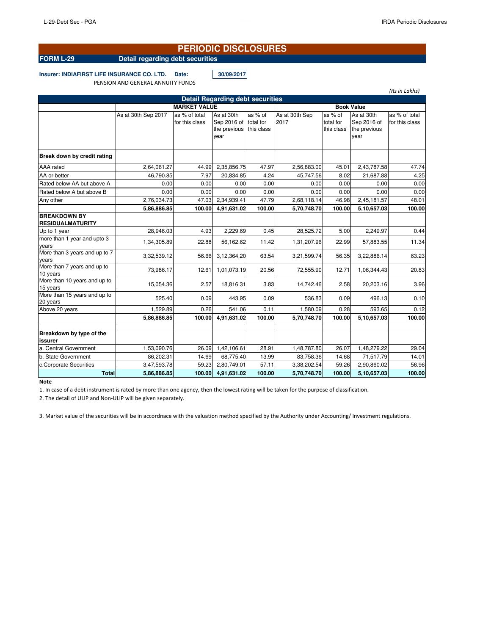# **PERIODIC DISCLOSURES**

# **FORM L-29 Detail regarding debt securities**

**Insurer: INDIAFIRST LIFE INSURANCE CO. LTD. Date: 30/09/2017**

PENSION AND GENERAL ANNUITY FUNDS

|                                                |                     |                |                       |            |                   |            |              | (Rs in Lakhs)  |  |
|------------------------------------------------|---------------------|----------------|-----------------------|------------|-------------------|------------|--------------|----------------|--|
| <b>Detail Regarding debt securities</b>        |                     |                |                       |            |                   |            |              |                |  |
|                                                | <b>MARKET VALUE</b> |                |                       |            | <b>Book Value</b> |            |              |                |  |
|                                                | As at 30th Sep 2017 | as % of total  | As at 30th            | as % of    | As at 30th Sep    | as % of    | As at 30th   | as % of total  |  |
|                                                |                     | for this class | Sep 2016 of total for |            | 2017              | total for  | Sep 2016 of  | for this class |  |
|                                                |                     |                | the previous          | this class |                   | this class | the previous |                |  |
|                                                |                     |                | year                  |            |                   |            | year         |                |  |
| Break down by credit rating                    |                     |                |                       |            |                   |            |              |                |  |
| <b>AAA</b> rated                               | 2,64,061.27         | 44.99          | 2,35,856.75           | 47.97      | 2,56,883.00       | 45.01      | 2,43,787.58  | 47.74          |  |
| AA or better                                   | 46.790.85           | 7.97           | 20,834.85             | 4.24       | 45,747.56         | 8.02       | 21,687.88    | 4.25           |  |
| Rated below AA but above A                     | 0.00                | 0.00           | 0.00                  | 0.00       | 0.00              | 0.00       | 0.00         | 0.00           |  |
| Rated below A but above B                      | 0.00                | 0.00           | 0.00                  | 0.00       | 0.00              | 0.00       | 0.00         | 0.00           |  |
| Any other                                      | 2,76,034.73         | 47.03          | 2,34,939.41           | 47.79      | 2,68,118.14       | 46.98      | 2,45,181.57  | 48.01          |  |
|                                                | 5,86,886.85         | 100.00         | 4,91,631.02           | 100.00     | 5,70,748.70       | 100.00     | 5,10,657.03  | 100.00         |  |
| <b>BREAKDOWN BY</b><br><b>RESIDUALMATURITY</b> |                     |                |                       |            |                   |            |              |                |  |
| Up to 1 year                                   | 28.946.03           | 4.93           | 2,229.69              | 0.45       | 28,525.72         | 5.00       | 2.249.97     | 0.44           |  |
| more than 1 year and upto 3<br>years           | 1,34,305.89         | 22.88          | 56,162.62             | 11.42      | 1,31,207.96       | 22.99      | 57,883.55    | 11.34          |  |
| More than 3 years and up to 7<br>years         | 3,32,539.12         | 56.66          | 3,12,364.20           | 63.54      | 3,21,599.74       | 56.35      | 3,22,886.14  | 63.23          |  |
| More than 7 years and up to<br>10 years        | 73,986.17           | 12.61          | 1,01,073.19           | 20.56      | 72,555.90         | 12.71      | 1,06,344.43  | 20.83          |  |
| More than 10 years and up to<br>15 years       | 15.054.36           | 2.57           | 18,816.31             | 3.83       | 14,742.46         | 2.58       | 20,203.16    | 3.96           |  |
| More than 15 years and up to<br>20 years       | 525.40              | 0.09           | 443.95                | 0.09       | 536.83            | 0.09       | 496.13       | 0.10           |  |
| Above 20 years                                 | 1,529.89            | 0.26           | 541.06                | 0.11       | 1,580.09          | 0.28       | 593.65       | 0.12           |  |
|                                                | 5,86,886.85         | 100.00         | 4,91,631.02           | 100.00     | 5,70,748.70       | 100.00     | 5,10,657.03  | 100.00         |  |
| Breakdown by type of the<br>issurer            |                     |                |                       |            |                   |            |              |                |  |
| a. Central Government                          | 1,53,090.76         | 26.09          | 1,42,106.61           | 28.91      | 1,48,787.80       | 26.07      | 1,48,279.22  | 29.04          |  |
| b. State Government                            | 86,202.31           | 14.69          | 68,775.40             | 13.99      | 83,758.36         | 14.68      | 71,517.79    | 14.01          |  |
| c.Corporate Securities                         | 3,47,593.78         | 59.23          | 2,80,749.01           | 57.11      | 3,38,202.54       | 59.26      | 2,90,860.02  | 56.96          |  |
| Total                                          | 5,86,886.85         | 100.00         | 4,91,631.02           | 100.00     | 5,70,748.70       | 100.00     | 5,10,657.03  | 100.00         |  |

### **Note**

1. In case of a debt instrument is rated by more than one agency, then the lowest rating will be taken for the purpose of classification.

2. The detail of ULIP and Non-ULIP will be given separately.

3. Market value of the securities will be in accordnace with the valuation method specified by the Authority under Accounting/ Investment regulations.